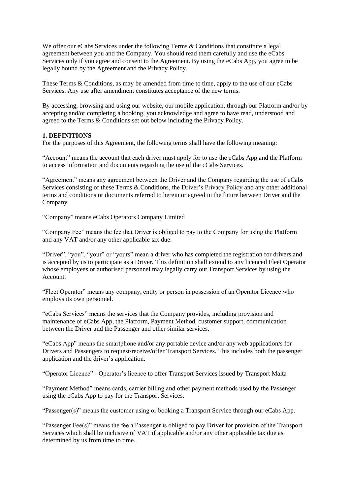We offer our eCabs Services under the following Terms & Conditions that constitute a legal agreement between you and the Company. You should read them carefully and use the eCabs Services only if you agree and consent to the Agreement. By using the eCabs App, you agree to be legally bound by the Agreement and the Privacy Policy.

These Terms & Conditions, as may be amended from time to time, apply to the use of our eCabs Services. Any use after amendment constitutes acceptance of the new terms.

By accessing, browsing and using our website, our mobile application, through our Platform and/or by accepting and/or completing a booking, you acknowledge and agree to have read, understood and agreed to the Terms & Conditions set out below including the Privacy Policy.

# **1. DEFINITIONS**

For the purposes of this Agreement, the following terms shall have the following meaning:

"Account" means the account that each driver must apply for to use the eCabs App and the Platform to access information and documents regarding the use of the cCabs Services.

"Agreement" means any agreement between the Driver and the Company regarding the use of eCabs Services consisting of these Terms & Conditions, the Driver's Privacy Policy and any other additional terms and conditions or documents referred to herein or agreed in the future between Driver and the Company.

"Company" means eCabs Operators Company Limited

"Company Fee" means the fee that Driver is obliged to pay to the Company for using the Platform and any VAT and/or any other applicable tax due.

"Driver", "you", "your" or "yours" mean a driver who has completed the registration for drivers and is accepted by us to participate as a Driver. This definition shall extend to any licenced Fleet Operator whose employees or authorised personnel may legally carry out Transport Services by using the Account.

"Fleet Operator" means any company, entity or person in possession of an Operator Licence who employs its own personnel.

"eCabs Services" means the services that the Company provides, including provision and maintenance of eCabs App, the Platform, Payment Method, customer support, communication between the Driver and the Passenger and other similar services.

"eCabs App" means the smartphone and/or any portable device and/or any web application/s for Drivers and Passengers to request/receive/offer Transport Services. This includes both the passenger application and the driver's application.

"Operator Licence" - Operator's licence to offer Transport Services issued by Transport Malta

"Payment Method" means cards, carrier billing and other payment methods used by the Passenger using the eCabs App to pay for the Transport Services.

"Passenger(s)" means the customer using or booking a Transport Service through our eCabs App.

"Passenger Fee(s)" means the fee a Passenger is obliged to pay Driver for provision of the Transport Services which shall be inclusive of VAT if applicable and/or any other applicable tax due as determined by us from time to time.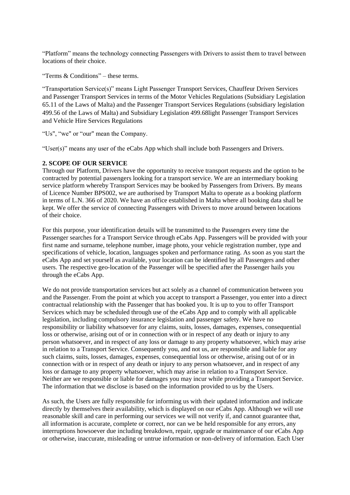"Platform" means the technology connecting Passengers with Drivers to assist them to travel between locations of their choice.

"Terms & Conditions" – these terms.

"Transportation Service(s)" means Light Passenger Transport Services, Chauffeur Driven Services and Passenger Transport Services in terms of the Motor Vehicles Regulations (Subsidiary Legislation 65.11 of the Laws of Malta) and the Passenger Transport Services Regulations (subsidiary legislation 499.56 of the Laws of Malta) and Subsidiary Legislation 499.68light Passenger Transport Services and Vehicle Hire Services Regulations

"Us", "we" or "our" mean the Company.

"User(s)" means any user of the eCabs App which shall include both Passengers and Drivers.

## **2. SCOPE OF OUR SERVICE**

Through our Platform, Drivers have the opportunity to receive transport requests and the option to be contracted by potential passengers looking for a transport service. We are an intermediary booking service platform whereby Transport Services may be booked by Passengers from Drivers. By means of Licence Number BPS002, we are authorised by Transport Malta to operate as a booking platform in terms of L.N. 366 of 2020. We have an office established in Malta where all booking data shall be kept. We offer the service of connecting Passengers with Drivers to move around between locations of their choice.

For this purpose, your identification details will be transmitted to the Passengers every time the Passenger searches for a Transport Service through eCabs App. Passengers will be provided with your first name and surname, telephone number, image photo, your vehicle registration number, type and specifications of vehicle, location, languages spoken and performance rating. As soon as you start the eCabs App and set yourself as available, your location can be identified by all Passengers and other users. The respective geo-location of the Passenger will be specified after the Passenger hails you through the eCabs App.

We do not provide transportation services but act solely as a channel of communication between you and the Passenger. From the point at which you accept to transport a Passenger, you enter into a direct contractual relationship with the Passenger that has booked you. It is up to you to offer Transport Services which may be scheduled through use of the eCabs App and to comply with all applicable legislation, including compulsory insurance legislation and passenger safety. We have no responsibility or liability whatsoever for any claims, suits, losses, damages, expenses, consequential loss or otherwise, arising out of or in connection with or in respect of any death or injury to any person whatsoever, and in respect of any loss or damage to any property whatsoever, which may arise in relation to a Transport Service. Consequently you, and not us, are responsible and liable for any such claims, suits, losses, damages, expenses, consequential loss or otherwise, arising out of or in connection with or in respect of any death or injury to any person whatsoever, and in respect of any loss or damage to any property whatsoever, which may arise in relation to a Transport Service. Neither are we responsible or liable for damages you may incur while providing a Transport Service. The information that we disclose is based on the information provided to us by the Users.

As such, the Users are fully responsible for informing us with their updated information and indicate directly by themselves their availability, which is displayed on our eCabs App. Although we will use reasonable skill and care in performing our services we will not verify if, and cannot guarantee that, all information is accurate, complete or correct, nor can we be held responsible for any errors, any interruptions howsoever due including breakdown, repair, upgrade or maintenance of our eCabs App or otherwise, inaccurate, misleading or untrue information or non-delivery of information. Each User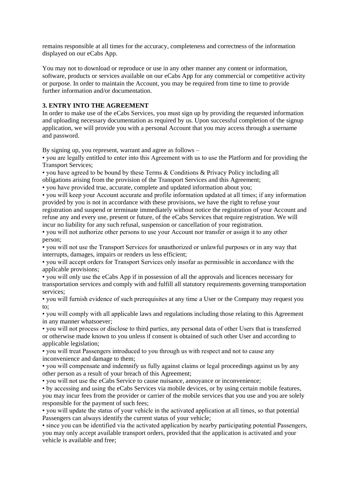remains responsible at all times for the accuracy, completeness and correctness of the information displayed on our eCabs App.

You may not to download or reproduce or use in any other manner any content or information, software, products or services available on our eCabs App for any commercial or competitive activity or purpose. In order to maintain the Account, you may be required from time to time to provide further information and/or documentation.

## **3. ENTRY INTO THE AGREEMENT**

In order to make use of the eCabs Services, you must sign up by providing the requested information and uploading necessary documentation as required by us. Upon successful completion of the signup application, we will provide you with a personal Account that you may access through a username and password.

By signing up, you represent, warrant and agree as follows –

• you are legally entitled to enter into this Agreement with us to use the Platform and for providing the Transport Services;

• you have agreed to be bound by these Terms & Conditions & Privacy Policy including all obligations arising from the provision of the Transport Services and this Agreement;

• you have provided true, accurate, complete and updated information about you;

• you will keep your Account accurate and profile information updated at all times; if any information provided by you is not in accordance with these provisions, we have the right to refuse your registration and suspend or terminate immediately without notice the registration of your Account and refuse any and every use, present or future, of the eCabs Services that require registration. We will incur no liability for any such refusal, suspension or cancellation of your registration.

• you will not authorize other persons to use your Account nor transfer or assign it to any other person;

• you will not use the Transport Services for unauthorized or unlawful purposes or in any way that interrupts, damages, impairs or renders us less efficient;

• you will accept orders for Transport Services only insofar as permissible in accordance with the applicable provisions;

• you will only use the eCabs App if in possession of all the approvals and licences necessary for transportation services and comply with and fulfill all statutory requirements governing transportation services;

• you will furnish evidence of such prerequisites at any time a User or the Company may request you to;

• you will comply with all applicable laws and regulations including those relating to this Agreement in any manner whatsoever;

• you will not process or disclose to third parties, any personal data of other Users that is transferred or otherwise made known to you unless if consent is obtained of such other User and according to applicable legislation;

• you will treat Passengers introduced to you through us with respect and not to cause any inconvenience and damage to them;

• you will compensate and indemnify us fully against claims or legal proceedings against us by any other person as a result of your breach of this Agreement;

• you will not use the eCabs Service to cause nuisance, annoyance or inconvenience;

• by accessing and using the eCabs Services via mobile devices, or by using certain mobile features, you may incur fees from the provider or carrier of the mobile services that you use and you are solely responsible for the payment of such fees;

• you will update the status of your vehicle in the activated application at all times, so that potential Passengers can always identify the current status of your vehicle;

• since you can be identified via the activated application by nearby participating potential Passengers, you may only accept available transport orders, provided that the application is activated and your vehicle is available and free;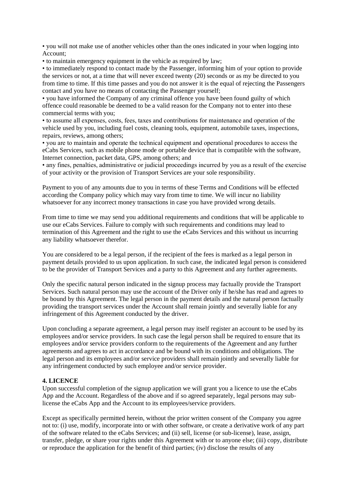• you will not make use of another vehicles other than the ones indicated in your when logging into Account;

• to maintain emergency equipment in the vehicle as required by law;

• to immediately respond to contact made by the Passenger, informing him of your option to provide the services or not, at a time that will never exceed twenty (20) seconds or as my be directed to you from time to time. If this time passes and you do not answer it is the equal of rejecting the Passengers contact and you have no means of contacting the Passenger yourself;

• you have informed the Company of any criminal offence you have been found guilty of which offence could reasonable be deemed to be a valid reason for the Company not to enter into these commercial terms with you;

• to assume all expenses, costs, fees, taxes and contributions for maintenance and operation of the vehicle used by you, including fuel costs, cleaning tools, equipment, automobile taxes, inspections, repairs, reviews, among others;

• you are to maintain and operate the technical equipment and operational procedures to access the eCabs Services, such as mobile phone mode or portable device that is compatible with the software, Internet connection, packet data, GPS, among others; and

• any fines, penalties, administrative or judicial proceedings incurred by you as a result of the exercise of your activity or the provision of Transport Services are your sole responsibility.

Payment to you of any amounts due to you in terms of these Terms and Conditions will be effected according the Company policy which may vary from time to time. We will incur no liability whatsoever for any incorrect money transactions in case you have provided wrong details.

From time to time we may send you additional requirements and conditions that will be applicable to use our eCabs Services. Failure to comply with such requirements and conditions may lead to termination of this Agreement and the right to use the eCabs Services and this without us incurring any liability whatsoever therefor.

You are considered to be a legal person, if the recipient of the fees is marked as a legal person in payment details provided to us upon application. In such case, the indicated legal person is considered to be the provider of Transport Services and a party to this Agreement and any further agreements.

Only the specific natural person indicated in the signup process may factually provide the Transport Services. Such natural person may use the account of the Driver only if he/she has read and agrees to be bound by this Agreement. The legal person in the payment details and the natural person factually providing the transport services under the Account shall remain jointly and severally liable for any infringement of this Agreement conducted by the driver.

Upon concluding a separate agreement, a legal person may itself register an account to be used by its employees and/or service providers. In such case the legal person shall be required to ensure that its employees and/or service providers conform to the requirements of the Agreement and any further agreements and agrees to act in accordance and be bound with its conditions and obligations. The legal person and its employees and/or service providers shall remain jointly and severally liable for any infringement conducted by such employee and/or service provider.

## **4. LICENCE**

Upon successful completion of the signup application we will grant you a licence to use the eCabs App and the Account. Regardless of the above and if so agreed separately, legal persons may sublicense the eCabs App and the Account to its employees/service providers.

Except as specifically permitted herein, without the prior written consent of the Company you agree not to: (i) use, modify, incorporate into or with other software, or create a derivative work of any part of the software related to the eCabs Services; and (ii) sell, license (or sub-license), lease, assign, transfer, pledge, or share your rights under this Agreement with or to anyone else; (iii) copy, distribute or reproduce the application for the benefit of third parties; (iv) disclose the results of any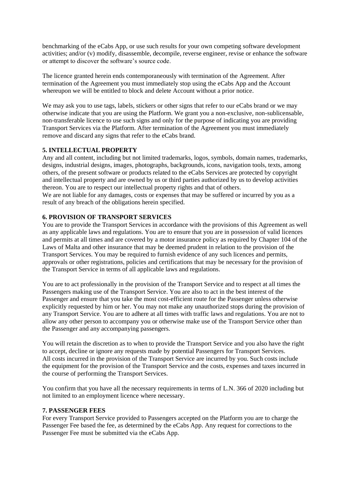benchmarking of the eCabs App, or use such results for your own competing software development activities; and/or (v) modify, disassemble, decompile, reverse engineer, revise or enhance the software or attempt to discover the software's source code.

The licence granted herein ends contemporaneously with termination of the Agreement. After termination of the Agreement you must immediately stop using the eCabs App and the Account whereupon we will be entitled to block and delete Account without a prior notice.

We may ask you to use tags, labels, stickers or other signs that refer to our eCabs brand or we may otherwise indicate that you are using the Platform. We grant you a non-exclusive, non-sublicensable, non-transferable licence to use such signs and only for the purpose of indicating you are providing Transport Services via the Platform. After termination of the Agreement you must immediately remove and discard any signs that refer to the eCabs brand.

## **5. INTELLECTUAL PROPERTY**

Any and all content, including but not limited trademarks, logos, symbols, domain names, trademarks, designs, industrial designs, images, photographs, backgrounds, icons, navigation tools, texts, among others, of the present software or products related to the eCabs Services are protected by copyright and intellectual property and are owned by us or third parties authorized by us to develop activities thereon. You are to respect our intellectual property rights and that of others.

We are not liable for any damages, costs or expenses that may be suffered or incurred by you as a result of any breach of the obligations herein specified.

# **6. PROVISION OF TRANSPORT SERVICES**

You are to provide the Transport Services in accordance with the provisions of this Agreement as well as any applicable laws and regulations. You are to ensure that you are in possession of valid licences and permits at all times and are covered by a motor insurance policy as required by Chapter 104 of the Laws of Malta and other insurance that may be deemed prudent in relation to the provision of the Transport Services. You may be required to furnish evidence of any such licences and permits, approvals or other registrations, policies and certifications that may be necessary for the provision of the Transport Service in terms of all applicable laws and regulations.

You are to act professionally in the provision of the Transport Service and to respect at all times the Passengers making use of the Transport Service. You are also to act in the best interest of the Passenger and ensure that you take the most cost-efficient route for the Passenger unless otherwise explicitly requested by him or her. You may not make any unauthorized stops during the provision of any Transport Service. You are to adhere at all times with traffic laws and regulations. You are not to allow any other person to accompany you or otherwise make use of the Transport Service other than the Passenger and any accompanying passengers.

You will retain the discretion as to when to provide the Transport Service and you also have the right to accept, decline or ignore any requests made by potential Passengers for Transport Services. All costs incurred in the provision of the Transport Service are incurred by you. Such costs include the equipment for the provision of the Transport Service and the costs, expenses and taxes incurred in the course of performing the Transport Services.

You confirm that you have all the necessary requirements in terms of L.N. 366 of 2020 including but not limited to an employment licence where necessary.

# **7. PASSENGER FEES**

For every Transport Service provided to Passengers accepted on the Platform you are to charge the Passenger Fee based the fee, as determined by the eCabs App. Any request for corrections to the Passenger Fee must be submitted via the eCabs App.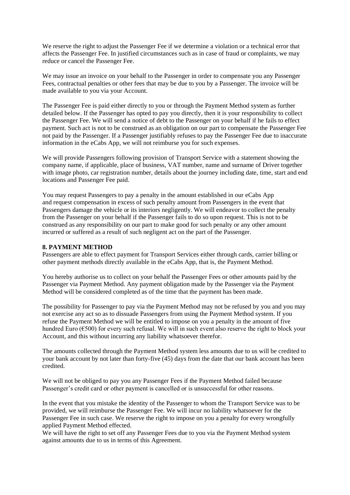We reserve the right to adjust the Passenger Fee if we determine a violation or a technical error that affects the Passenger Fee. In justified circumstances such as in case of fraud or complaints, we may reduce or cancel the Passenger Fee.

We may issue an invoice on your behalf to the Passenger in order to compensate you any Passenger Fees, contractual penalties or other fees that may be due to you by a Passenger. The invoice will be made available to you via your Account.

The Passenger Fee is paid either directly to you or through the Payment Method system as further detailed below. If the Passenger has opted to pay you directly, then it is your responsibility to collect the Passenger Fee. We will send a notice of debt to the Passenger on your behalf if he fails to effect payment. Such act is not to be construed as an obligation on our part to compensate the Passenger Fee not paid by the Passenger. If a Passenger justifiably refuses to pay the Passenger Fee due to inaccurate information in the eCabs App, we will not reimburse you for such expenses.

We will provide Passengers following provision of Transport Service with a statement showing the company name, if applicable, place of business, VAT number, name and surname of Driver together with image photo, car registration number, details about the journey including date, time, start and end locations and Passenger Fee paid.

You may request Passengers to pay a penalty in the amount established in our eCabs App and request compensation in excess of such penalty amount from Passengers in the event that Passengers damage the vehicle or its interiors negligently. We will endeavor to collect the penalty from the Passenger on your behalf if the Passenger fails to do so upon request. This is not to be construed as any responsibility on our part to make good for such penalty or any other amount incurred or suffered as a result of such negligent act on the part of the Passenger.

#### **8. PAYMENT METHOD**

Passengers are able to effect payment for Transport Services either through cards, carrier billing or other payment methods directly available in the eCabs App, that is, the Payment Method.

You hereby authorise us to collect on your behalf the Passenger Fees or other amounts paid by the Passenger via Payment Method. Any payment obligation made by the Passenger via the Payment Method will be considered completed as of the time that the payment has been made.

The possibility for Passenger to pay via the Payment Method may not be refused by you and you may not exercise any act so as to dissuade Passengers from using the Payment Method system. If you refuse the Payment Method we will be entitled to impose on you a penalty in the amount of five hundred Euro ( $\epsilon$ 500) for every such refusal. We will in such event also reserve the right to block your Account, and this without incurring any liability whatsoever therefor.

The amounts collected through the Payment Method system less amounts due to us will be credited to your bank account by not later than forty-five (45) days from the date that our bank account has been credited.

We will not be obliged to pay you any Passenger Fees if the Payment Method failed because Passenger's credit card or other payment is cancelled or is unsuccessful for other reasons.

In the event that you mistake the identity of the Passenger to whom the Transport Service was to be provided, we will reimburse the Passenger Fee. We will incur no liability whatsoever for the Passenger Fee in such case. We reserve the right to impose on you a penalty for every wrongfully applied Payment Method effected.

We will have the right to set off any Passenger Fees due to you via the Payment Method system against amounts due to us in terms of this Agreement.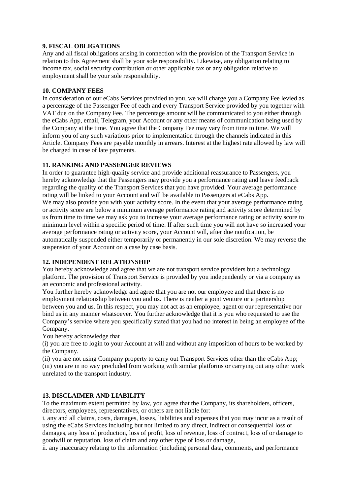# **9. FISCAL OBLIGATIONS**

Any and all fiscal obligations arising in connection with the provision of the Transport Service in relation to this Agreement shall be your sole responsibility. Likewise, any obligation relating to income tax, social security contribution or other applicable tax or any obligation relative to employment shall be your sole responsibility.

# **10. COMPANY FEES**

In consideration of our eCabs Services provided to you, we will charge you a Company Fee levied as a percentage of the Passenger Fee of each and every Transport Service provided by you together with VAT due on the Company Fee. The percentage amount will be communicated to you either through the eCabs App, email, Telegram, your Account or any other means of communication being used by the Company at the time. You agree that the Company Fee may vary from time to time. We will inform you of any such variations prior to implementation through the channels indicated in this Article. Company Fees are payable monthly in arrears. Interest at the highest rate allowed by law will be charged in case of late payments.

# **11. RANKING AND PASSENGER REVIEWS**

In order to guarantee high-quality service and provide additional reassurance to Passengers, you hereby acknowledge that the Passengers may provide you a performance rating and leave feedback regarding the quality of the Transport Services that you have provided. Your average performance rating will be linked to your Account and will be available to Passengers at eCabs App. We may also provide you with your activity score. In the event that your average performance rating or activity score are below a minimum average performance rating and activity score determined by us from time to time we may ask you to increase your average performance rating or activity score to minimum level within a specific period of time. If after such time you will not have so increased your average performance rating or activity score, your Account will, after due notification, be automatically suspended either temporarily or permanently in our sole discretion. We may reverse the suspension of your Account on a case by case basis.

# **12. INDEPENDENT RELATIONSHIP**

You hereby acknowledge and agree that we are not transport service providers but a technology platform. The provision of Transport Service is provided by you independently or via a company as an economic and professional activity.

You further hereby acknowledge and agree that you are not our employee and that there is no employment relationship between you and us. There is neither a joint venture or a partnership between you and us. In this respect, you may not act as an employee, agent or our representative nor bind us in any manner whatsoever. You further acknowledge that it is you who requested to use the Company's service where you specifically stated that you had no interest in being an employee of the Company.

You hereby acknowledge that

(i) you are free to login to your Account at will and without any imposition of hours to be worked by the Company.

(ii) you are not using Company property to carry out Transport Services other than the eCabs App; (iii) you are in no way precluded from working with similar platforms or carrying out any other work unrelated to the transport industry.

## **13. DISCLAIMER AND LIABILITY**

To the maximum extent permitted by law, you agree that the Company, its shareholders, officers, directors, employees, representatives, or others are not liable for:

i. any and all claims, costs, damages, losses, liabilities and expenses that you may incur as a result of using the eCabs Services including but not limited to any direct, indirect or consequential loss or damages, any loss of production, loss of profit, loss of revenue, loss of contract, loss of or damage to goodwill or reputation, loss of claim and any other type of loss or damage,

ii. any inaccuracy relating to the information (including personal data, comments, and performance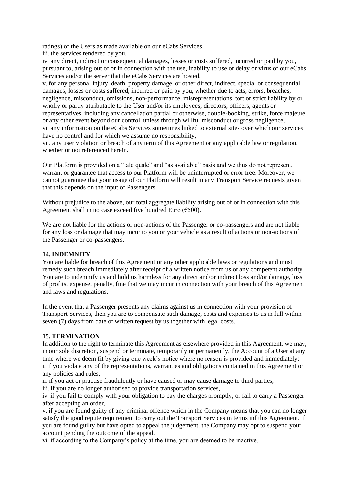ratings) of the Users as made available on our eCabs Services,

iii. the services rendered by you,

iv. any direct, indirect or consequential damages, losses or costs suffered, incurred or paid by you, pursuant to, arising out of or in connection with the use, inability to use or delay or virus of our eCabs Services and/or the server that the eCabs Services are hosted,

v. for any personal injury, death, property damage, or other direct, indirect, special or consequential damages, losses or costs suffered, incurred or paid by you, whether due to acts, errors, breaches, negligence, misconduct, omissions, non-performance, misrepresentations, tort or strict liability by or wholly or partly attributable to the User and/or its employees, directors, officers, agents or representatives, including any cancellation partial or otherwise, double-booking, strike, force majeure or any other event beyond our control, unless through willful misconduct or gross negligence, vi. any information on the eCabs Services sometimes linked to external sites over which our services have no control and for which we assume no responsibility,

vii. any user violation or breach of any term of this Agreement or any applicable law or regulation, whether or not referenced herein.

Our Platform is provided on a "tale quale" and "as available" basis and we thus do not represent, warrant or guarantee that access to our Platform will be uninterrupted or error free. Moreover, we cannot guarantee that your usage of our Platform will result in any Transport Service requests given that this depends on the input of Passengers.

Without prejudice to the above, our total aggregate liability arising out of or in connection with this Agreement shall in no case exceed five hundred Euro ( $€500$ ).

We are not liable for the actions or non-actions of the Passenger or co-passengers and are not liable for any loss or damage that may incur to you or your vehicle as a result of actions or non-actions of the Passenger or co-passengers.

## **14. INDEMNITY**

You are liable for breach of this Agreement or any other applicable laws or regulations and must remedy such breach immediately after receipt of a written notice from us or any competent authority. You are to indemnify us and hold us harmless for any direct and/or indirect loss and/or damage, loss of profits, expense, penalty, fine that we may incur in connection with your breach of this Agreement and laws and regulations.

In the event that a Passenger presents any claims against us in connection with your provision of Transport Services, then you are to compensate such damage, costs and expenses to us in full within seven (7) days from date of written request by us together with legal costs.

## **15. TERMINATION**

In addition to the right to terminate this Agreement as elsewhere provided in this Agreement, we may, in our sole discretion, suspend or terminate, temporarily or permanently, the Account of a User at any time where we deem fit by giving one week's notice where no reason is provided and immediately: i. if you violate any of the representations, warranties and obligations contained in this Agreement or any policies and rules,

ii. if you act or practise fraudulently or have caused or may cause damage to third parties,

iii. if you are no longer authorised to provide transportation services,

iv. if you fail to comply with your obligation to pay the charges promptly, or fail to carry a Passenger after accepting an order,

v. if you are found guilty of any criminal offence which in the Company means that you can no longer satisfy the good repute requirement to carry out the Transport Services in terms inf this Agreement. If you are found guilty but have opted to appeal the judgement, the Company may opt to suspend your account pending the outcome of the appeal.

vi. if according to the Company's policy at the time, you are deemed to be inactive.